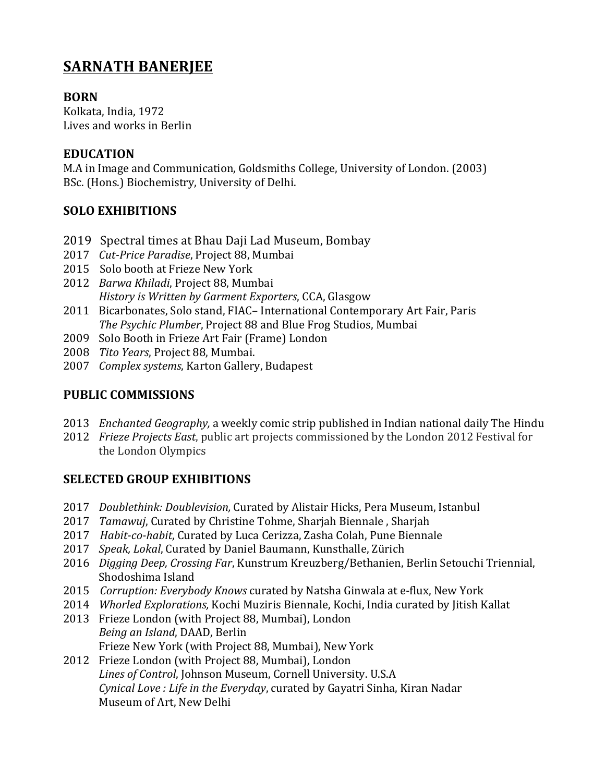# **SARNATH BANERJEE**

## **BORN**

Kolkata, India, 1972 Lives and works in Berlin

#### **EDUCATION**

M.A in Image and Communication, Goldsmiths College, University of London. (2003) BSc. (Hons.) Biochemistry, University of Delhi.

## **SOLO EXHIBITIONS**

- 2019 Spectral times at Bhau Daji Lad Museum, Bombay
- 2017 *Cut-Price Paradise*, Project 88, Mumbai
- 2015 Solo booth at Frieze New York
- 2012 *Barwa Khiladi*, Project 88, Mumbai *History is Written by Garment Exporters*, CCA, Glasgow
- 2011 Bicarbonates, Solo stand, FIAC- International Contemporary Art Fair, Paris *The Psychic Plumber*, Project 88 and Blue Frog Studios, Mumbai
- 2009 Solo Booth in Frieze Art Fair (Frame) London
- 2008 *Tito Years*, Project 88, Mumbai.
- 2007 *Complex systems*, Karton Gallery, Budapest

#### **PUBLIC COMMISSIONS**

- 2013 *Enchanted Geography*, a weekly comic strip published in Indian national daily The Hindu
- 2012 *Frieze Projects East*, public art projects commissioned by the London 2012 Festival for the London Olympics

#### **SELECTED GROUP EXHIBITIONS**

- 2017 *Doublethink: Doublevision*, Curated by Alistair Hicks, Pera Museum, Istanbul
- 2017 *Tamawuj*, Curated by Christine Tohme, Sharjah Biennale, Sharjah
- 2017 *Habit-co-habit*, Curated by Luca Cerizza, Zasha Colah, Pune Biennale
- 2017 *Speak, Lokal, Curated by Daniel Baumann, Kunsthalle, Zürich*
- 2016 *Digging Deep, Crossing Far, Kunstrum Kreuzberg/Bethanien, Berlin Setouchi Triennial,* Shodoshima Island
- 2015 *Corruption: Everybody Knows* curated by Natsha Ginwala at e-flux, New York
- 2014 *Whorled Explorations, Kochi Muziris Biennale, Kochi, India curated by Jitish Kallat*
- 2013 Frieze London (with Project 88, Mumbai), London *Being an Island*, DAAD, Berlin Frieze New York (with Project 88, Mumbai), New York
- 2012 Frieze London (with Project 88, Mumbai), London Lines of Control, Johnson Museum, Cornell University, U.S.A *Cynical Love : Life in the Everyday, curated by Gayatri Sinha, Kiran Nadar* Museum of Art, New Delhi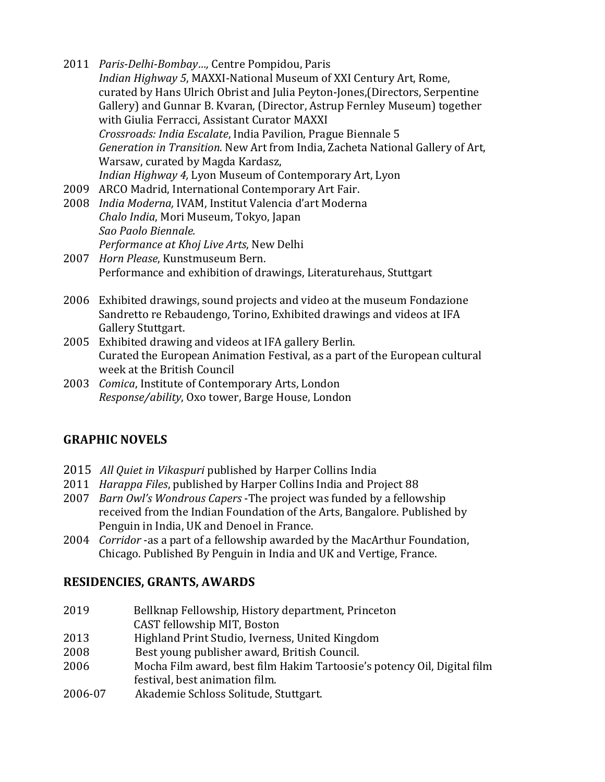- 2011 *Paris-Delhi-Bombay...*, Centre Pompidou, Paris *Indian Highway 5, MAXXI-National Museum of XXI Century Art, Rome,* curated by Hans Ulrich Obrist and Julia Peyton-Jones,(Directors, Serpentine Gallery) and Gunnar B. Kvaran, (Director, Astrup Fernley Museum) together with Giulia Ferracci, Assistant Curator MAXXI *Crossroads: India Escalate*, India Pavilion, Prague Biennale 5 *Generation in Transition*. New Art from India, Zacheta National Gallery of Art, Warsaw, curated by Magda Kardasz, *Indian Highway 4, Lyon Museum of Contemporary Art, Lyon* 2009 ARCO Madrid, International Contemporary Art Fair.
- 2008 *India Moderna, IVAM, Institut Valencia d'art Moderna Chalo India*, Mori Museum, Tokyo, Japan *Sao Paolo Biennale. Performance at Khoj Live Arts*, New Delhi
- 2007 *Horn Please*, Kunstmuseum Bern. Performance and exhibition of drawings, Literaturehaus, Stuttgart
- 2006 Exhibited drawings, sound projects and video at the museum Fondazione Sandretto re Rebaudengo, Torino, Exhibited drawings and videos at IFA Gallery Stuttgart.
- 2005 Exhibited drawing and videos at IFA gallery Berlin. Curated the European Animation Festival, as a part of the European cultural week at the British Council
- 2003 *Comica*, Institute of Contemporary Arts, London *Response/ability*, Oxo tower, Barge House, London

# **GRAPHIC NOVELS**

- 2015 All Quiet in Vikaspuri published by Harper Collins India
- 2011 *Harappa Files*, published by Harper Collins India and Project 88
- 2007 *Barn Owl's Wondrous Capers* -The project was funded by a fellowship received from the Indian Foundation of the Arts, Bangalore. Published by Penguin in India, UK and Denoel in France.
- 2004 *Corridor* -as a part of a fellowship awarded by the MacArthur Foundation, Chicago. Published By Penguin in India and UK and Vertige, France.

# **RESIDENCIES, GRANTS, AWARDS**

- 2019 Bellknap Fellowship, History department, Princeton CAST fellowship MIT, Boston
- 2013 Highland Print Studio, Iverness, United Kingdom
- 2008 Best young publisher award, British Council.
- 2006 Mocha Film award, best film Hakim Tartoosie's potency Oil, Digital film festival, best animation film.
- 2006-07 Akademie Schloss Solitude, Stuttgart.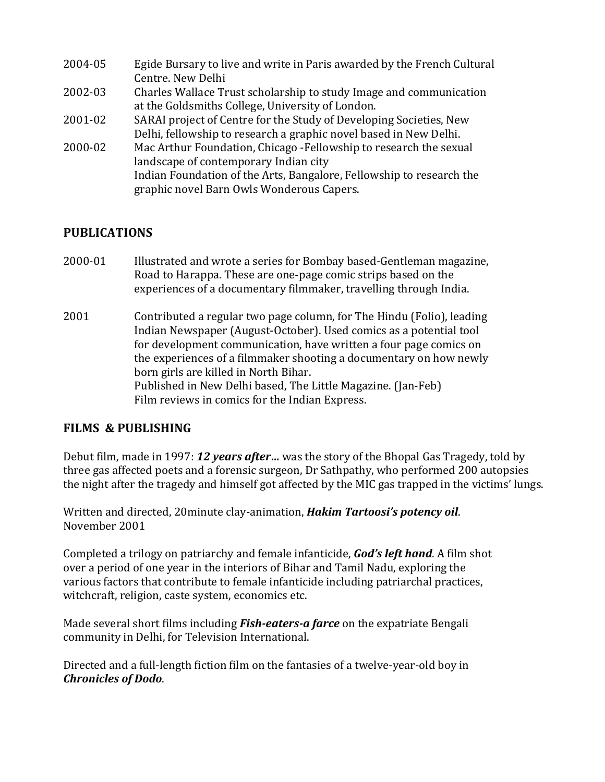| 2004-05 | Egide Bursary to live and write in Paris awarded by the French Cultural |
|---------|-------------------------------------------------------------------------|
|         | Centre. New Delhi                                                       |
| 2002-03 | Charles Wallace Trust scholarship to study Image and communication      |
|         | at the Goldsmiths College, University of London.                        |
| 2001-02 | SARAI project of Centre for the Study of Developing Societies, New      |
|         | Delhi, fellowship to research a graphic novel based in New Delhi.       |
| 2000-02 | Mac Arthur Foundation, Chicago - Fellowship to research the sexual      |
|         | landscape of contemporary Indian city                                   |
|         | Indian Foundation of the Arts, Bangalore, Fellowship to research the    |
|         | graphic novel Barn Owls Wonderous Capers.                               |

#### **PUBLICATIONS**

- 2000-01 Illustrated and wrote a series for Bombay based-Gentleman magazine, Road to Harappa. These are one-page comic strips based on the experiences of a documentary filmmaker, travelling through India.
- 2001 Contributed a regular two page column, for The Hindu (Folio), leading Indian Newspaper (August-October). Used comics as a potential tool for development communication, have written a four page comics on the experiences of a filmmaker shooting a documentary on how newly born girls are killed in North Bihar. Published in New Delhi based, The Little Magazine. (Jan-Feb) Film reviews in comics for the Indian Express.

#### **FILMS & PUBLISHING**

Debut film, made in 1997: 12 years after... was the story of the Bhopal Gas Tragedy, told by three gas affected poets and a forensic surgeon, Dr Sathpathy, who performed 200 autopsies the night after the tragedy and himself got affected by the MIC gas trapped in the victims' lungs.

Written and directed, 20minute clay-animation, *Hakim Tartoosi's potency oil.* November 2001 

Completed a trilogy on patriarchy and female infanticide, **God's left hand**. A film shot over a period of one year in the interiors of Bihar and Tamil Nadu, exploring the various factors that contribute to female infanticide including patriarchal practices, witchcraft, religion, caste system, economics etc.

Made several short films including *Fish-eaters-a farce* on the expatriate Bengali community in Delhi, for Television International.

Directed and a full-length fiction film on the fantasies of a twelve-year-old boy in *Chronicles of Dodo*.